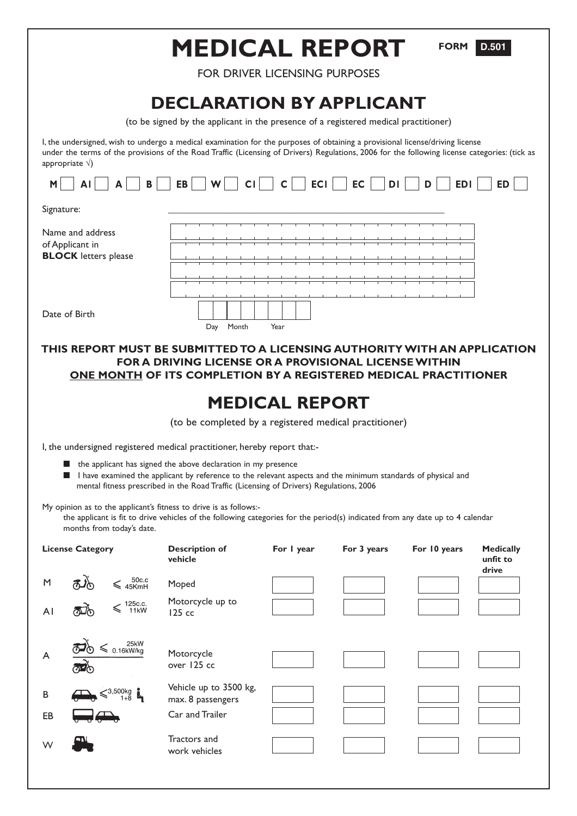|                                                                                                                                                                                                                                                                                                          | <b>MEDICAL REPORT</b>                       |                       |             | <b>FORM</b>  | D.501                                 |  |  |  |  |
|----------------------------------------------------------------------------------------------------------------------------------------------------------------------------------------------------------------------------------------------------------------------------------------------------------|---------------------------------------------|-----------------------|-------------|--------------|---------------------------------------|--|--|--|--|
| <b>FOR DRIVER LICENSING PURPOSES</b>                                                                                                                                                                                                                                                                     |                                             |                       |             |              |                                       |  |  |  |  |
| <b>DECLARATION BY APPLICANT</b><br>(to be signed by the applicant in the presence of a registered medical practitioner)                                                                                                                                                                                  |                                             |                       |             |              |                                       |  |  |  |  |
| I, the undersigned, wish to undergo a medical examination for the purposes of obtaining a provisional license/driving license<br>under the terms of the provisions of the Road Traffic (Licensing of Drivers) Regulations, 2006 for the following license categories: (tick as<br>appropriate $\sqrt{ }$ |                                             |                       |             |              |                                       |  |  |  |  |
| <b>EC</b><br>CI<br>$\mathsf{C}$<br><b>ECI</b><br>AI<br>EB<br>W<br>DI<br>D<br><b>EDI</b><br><b>ED</b><br>M<br>в                                                                                                                                                                                           |                                             |                       |             |              |                                       |  |  |  |  |
| Signature:                                                                                                                                                                                                                                                                                               |                                             |                       |             |              |                                       |  |  |  |  |
| Name and address<br>of Applicant in<br><b>BLOCK</b> letters please                                                                                                                                                                                                                                       |                                             |                       |             |              |                                       |  |  |  |  |
|                                                                                                                                                                                                                                                                                                          |                                             |                       |             |              |                                       |  |  |  |  |
| Date of Birth                                                                                                                                                                                                                                                                                            | Month<br>Day                                | Year                  |             |              |                                       |  |  |  |  |
| THIS REPORT MUST BE SUBMITTED TO A LICENSING AUTHORITY WITH AN APPLICATION<br><b>FOR A DRIVING LICENSE OR A PROVISIONAL LICENSE WITHIN</b><br>ONE MONTH OF ITS COMPLETION BY A REGISTERED MEDICAL PRACTITIONER                                                                                           |                                             |                       |             |              |                                       |  |  |  |  |
|                                                                                                                                                                                                                                                                                                          |                                             | <b>MEDICAL REPORT</b> |             |              |                                       |  |  |  |  |
| (to be completed by a registered medical practitioner)                                                                                                                                                                                                                                                   |                                             |                       |             |              |                                       |  |  |  |  |
| I, the undersigned registered medical practitioner, hereby report that:-                                                                                                                                                                                                                                 |                                             |                       |             |              |                                       |  |  |  |  |
| the applicant has signed the above declaration in my presence<br>I have examined the applicant by reference to the relevant aspects and the minimum standards of physical and<br>mental fitness prescribed in the Road Traffic (Licensing of Drivers) Regulations, 2006                                  |                                             |                       |             |              |                                       |  |  |  |  |
| My opinion as to the applicant's fitness to drive is as follows:-<br>the applicant is fit to drive vehicles of the following categories for the period(s) indicated from any date up to 4 calendar<br>months from today's date.                                                                          |                                             |                       |             |              |                                       |  |  |  |  |
| <b>License Category</b>                                                                                                                                                                                                                                                                                  | <b>Description of</b><br>vehicle            | For I year            | For 3 years | For 10 years | <b>Medically</b><br>unfit to<br>drive |  |  |  |  |
| 50c.c<br>45KmH<br>M                                                                                                                                                                                                                                                                                      | Moped                                       |                       |             |              |                                       |  |  |  |  |
| .125c.c<br>11kW<br>ΑI                                                                                                                                                                                                                                                                                    | Motorcycle up to<br>125 cc                  |                       |             |              |                                       |  |  |  |  |
| $\leqslant$ 0.16kW/kg<br>A                                                                                                                                                                                                                                                                               | Motorcycle<br>over 125 cc                   |                       |             |              |                                       |  |  |  |  |
| $^{13,500\mathrm{kg}}_{1+8}$<br>B                                                                                                                                                                                                                                                                        | Vehicle up to 3500 kg,<br>max. 8 passengers |                       |             |              |                                       |  |  |  |  |
| EB                                                                                                                                                                                                                                                                                                       | Car and Trailer                             |                       |             |              |                                       |  |  |  |  |
| w                                                                                                                                                                                                                                                                                                        | Tractors and<br>work vehicles               |                       |             |              |                                       |  |  |  |  |